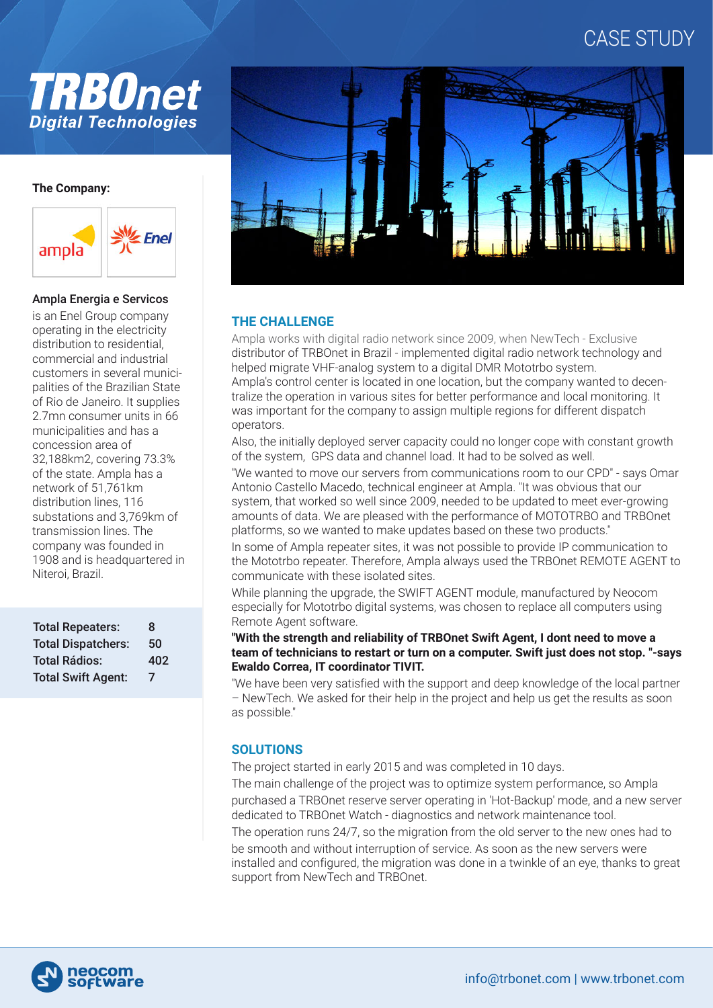# CASE STUDY



#### **The Company:**



#### Ampla Energia e Servicos

is an Enel Group company operating in the electricity distribution to residential, commercial and industrial customers in several municipalities of the Brazilian State of Rio de Janeiro. It supplies 2.7mn consumer units in 66 municipalities and has a concession area of 32,188km2, covering 73.3% of the state. Ampla has a network of 51,761km distribution lines, 116 substations and 3,769km of transmission lines. The company was founded in 1908 and is headquartered in Niteroi, Brazil.

| <b>Total Repeaters:</b>   | 8   |
|---------------------------|-----|
| <b>Total Dispatchers:</b> | 50  |
| <b>Total Rádios:</b>      | 402 |
| <b>Total Swift Agent:</b> | 7   |



### **THE CHALLENGE**

Ampla works with digital radio network since 2009, when NewTech - Exclusive distributor of TRBOnet in Brazil - implemented digital radio network technology and helped migrate VHF-analog system to a digital DMR Mototrbo system. Ampla's control center is located in one location, but the company wanted to decentralize the operation in various sites for better performance and local monitoring. It was important for the company to assign multiple regions for different dispatch operators.

Also, the initially deployed server capacity could no longer cope with constant growth of the system, GPS data and channel load. It had to be solved as well.

"We wanted to move our servers from communications room to our CPD" - says Omar Antonio Castello Macedo, technical engineer at Ampla. "It was obvious that our system, that worked so well since 2009, needed to be updated to meet ever-growing amounts of data. We are pleased with the performance of MOTOTRBO and TRBOnet platforms, so we wanted to make updates based on these two products."

In some of Ampla repeater sites, it was not possible to provide IP communication to the Mototrbo repeater. Therefore, Ampla always used the TRBOnet REMOTE AGENT to communicate with these isolated sites.

While planning the upgrade, the SWIFT AGENT module, manufactured by Neocom especially for Mototrbo digital systems, was chosen to replace all computers using Remote Agent software.

#### **"With the strength and reliability of TRBOnet Swift Agent, I dont need to move a team of technicians to restart or turn on a computer. Swift just does not stop. "-says Ewaldo Correa, IT coordinator TIVIT.**

"We have been very satisfied with the support and deep knowledge of the local partner – NewTech. We asked for their help in the project and help us get the results as soon as possible."

## **SOLUTIONS**

The project started in early 2015 and was completed in 10 days.

The main challenge of the project was to optimize system performance, so Ampla purchased a TRBOnet reserve server operating in 'Hot-Backup' mode, and a new server dedicated to TRBOnet Watch - diagnostics and network maintenance tool.

The operation runs 24/7, so the migration from the old server to the new ones had to be smooth and without interruption of service. As soon as the new servers were

installed and configured, the migration was done in a twinkle of an eye, thanks to great support from NewTech and TRBOnet.